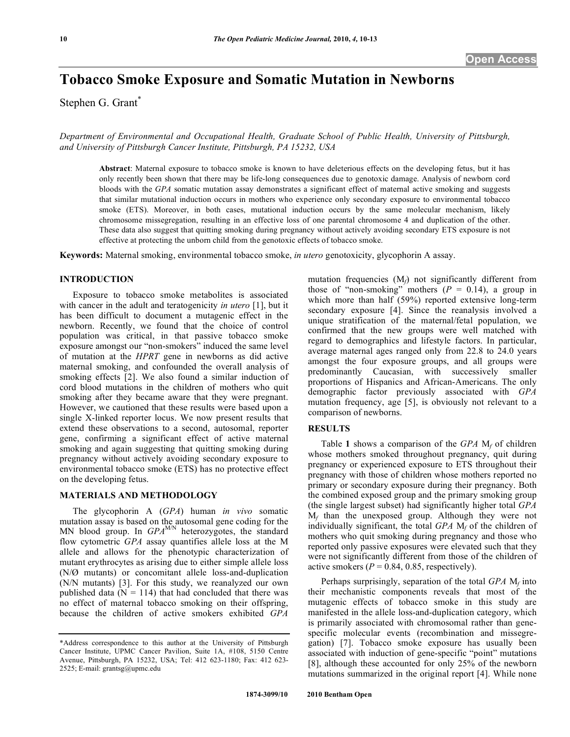# **Tobacco Smoke Exposure and Somatic Mutation in Newborns**

Stephen G. Grant<sup>\*</sup>

*Department of Environmental and Occupational Health, Graduate School of Public Health, University of Pittsburgh, and University of Pittsburgh Cancer Institute, Pittsburgh, PA 15232, USA* 

**Abstract**: Maternal exposure to tobacco smoke is known to have deleterious effects on the developing fetus, but it has only recently been shown that there may be life-long consequences due to genotoxic damage. Analysis of newborn cord bloods with the *GPA* somatic mutation assay demonstrates a significant effect of maternal active smoking and suggests that similar mutational induction occurs in mothers who experience only secondary exposure to environmental tobacco smoke (ETS). Moreover, in both cases, mutational induction occurs by the same molecular mechanism, likely chromosome missegregation, resulting in an effective loss of one parental chromosome 4 and duplication of the other. These data also suggest that quitting smoking during pregnancy without actively avoiding secondary ETS exposure is not effective at protecting the unborn child from the genotoxic effects of tobacco smoke.

**Keywords:** Maternal smoking, environmental tobacco smoke, *in utero* genotoxicity, glycophorin A assay.

# **INTRODUCTION**

 Exposure to tobacco smoke metabolites is associated with cancer in the adult and teratogenicity *in utero* [1], but it has been difficult to document a mutagenic effect in the newborn. Recently, we found that the choice of control population was critical, in that passive tobacco smoke exposure amongst our "non-smokers" induced the same level of mutation at the *HPRT* gene in newborns as did active maternal smoking, and confounded the overall analysis of smoking effects [2]. We also found a similar induction of cord blood mutations in the children of mothers who quit smoking after they became aware that they were pregnant. However, we cautioned that these results were based upon a single X-linked reporter locus. We now present results that extend these observations to a second, autosomal, reporter gene, confirming a significant effect of active maternal smoking and again suggesting that quitting smoking during pregnancy without actively avoiding secondary exposure to environmental tobacco smoke (ETS) has no protective effect on the developing fetus.

#### **MATERIALS AND METHODOLOGY**

 The glycophorin A (*GPA*) human *in vivo* somatic mutation assay is based on the autosomal gene coding for the MN blood group. In *GPA<sup>M/N</sup>* heterozygotes, the standard flow cytometric *GPA* assay quantifies allele loss at the M allele and allows for the phenotypic characterization of mutant erythrocytes as arising due to either simple allele loss (N/Ø mutants) or concomitant allele loss-and-duplication (N/N mutants) [3]. For this study, we reanalyzed our own published data ( $N = 114$ ) that had concluded that there was no effect of maternal tobacco smoking on their offspring, because the children of active smokers exhibited *GPA*

mutation frequencies (M*f*) not significantly different from those of "non-smoking" mothers  $(P = 0.14)$ , a group in which more than half (59%) reported extensive long-term secondary exposure [4]. Since the reanalysis involved a unique stratification of the maternal/fetal population, we confirmed that the new groups were well matched with regard to demographics and lifestyle factors. In particular, average maternal ages ranged only from 22.8 to 24.0 years amongst the four exposure groups, and all groups were predominantly Caucasian, with successively smaller proportions of Hispanics and African-Americans. The only demographic factor previously associated with *GPA* mutation frequency, age [5], is obviously not relevant to a comparison of newborns.

## **RESULTS**

 Table **1** shows a comparison of the *GPA* M*f* of children whose mothers smoked throughout pregnancy, quit during pregnancy or experienced exposure to ETS throughout their pregnancy with those of children whose mothers reported no primary or secondary exposure during their pregnancy. Both the combined exposed group and the primary smoking group (the single largest subset) had significantly higher total *GPA* M*f* than the unexposed group. Although they were not individually significant, the total *GPA* M*f* of the children of mothers who quit smoking during pregnancy and those who reported only passive exposures were elevated such that they were not significantly different from those of the children of active smokers  $(P = 0.84, 0.85,$  respectively).

 Perhaps surprisingly, separation of the total *GPA* M*f* into their mechanistic components reveals that most of the mutagenic effects of tobacco smoke in this study are manifested in the allele loss-and-duplication category, which is primarily associated with chromosomal rather than genespecific molecular events (recombination and missegregation) [7]. Tobacco smoke exposure has usually been associated with induction of gene-specific "point" mutations [8], although these accounted for only 25% of the newborn mutations summarized in the original report [4]. While none

<sup>\*</sup>Address correspondence to this author at the University of Pittsburgh Cancer Institute, UPMC Cancer Pavilion, Suite 1A, #108, 5150 Centre Avenue, Pittsburgh, PA 15232, USA; Tel: 412 623-1180; Fax: 412 623- 2525; E-mail: grantsg@upmc.edu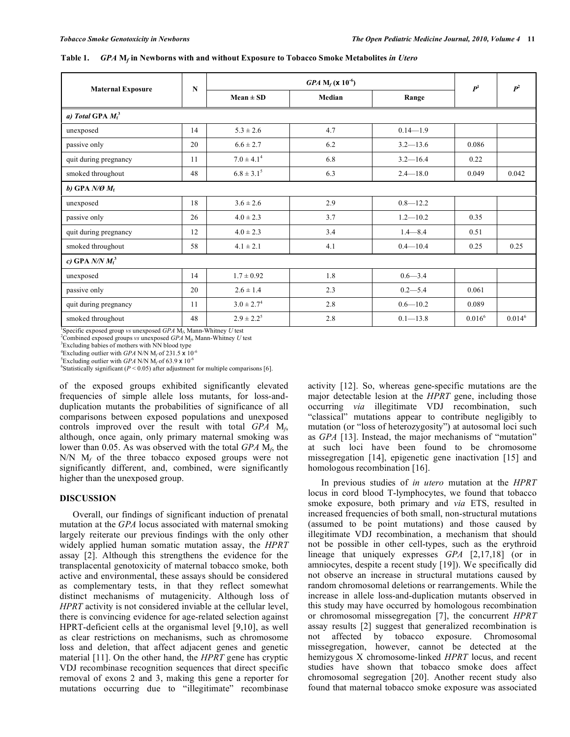| <b>Maternal Exposure</b>   | N  | <b>GPA</b> $M_f$ ( <b>x</b> 10 <sup>-6</sup> ) |        |              | P <sup>1</sup> | $P^2$     |
|----------------------------|----|------------------------------------------------|--------|--------------|----------------|-----------|
|                            |    | $Mean \pm SD$                                  | Median | Range        |                |           |
| a) Total GPA $M_f^3$       |    |                                                |        |              |                |           |
| unexposed                  | 14 | $5.3 \pm 2.6$                                  | 4.7    | $0.14 - 1.9$ |                |           |
| passive only               | 20 | $6.6 \pm 2.7$                                  | 6.2    | $3.2 - 13.6$ | 0.086          |           |
| quit during pregnancy      | 11 | $7.0 \pm 4.1^4$                                | 6.8    | $3.2 - 16.4$ | 0.22           |           |
| smoked throughout          | 48 | $6.8 \pm 3.1^5$                                | 6.3    | $2.4 - 18.0$ | 0.049          | 0.042     |
| b) GPA $N/\mathcal{O} M_f$ |    |                                                |        |              |                |           |
| unexposed                  | 18 | $3.6 \pm 2.6$                                  | 2.9    | $0.8 - 12.2$ |                |           |
| passive only               | 26 | $4.0 \pm 2.3$                                  | 3.7    | $1.2 - 10.2$ | 0.35           |           |
| quit during pregnancy      | 12 | $4.0 \pm 2.3$                                  | 3.4    | $1.4 - 8.4$  | 0.51           |           |
| smoked throughout          | 58 | $4.1 \pm 2.1$                                  | 4.1    | $0.4 - 10.4$ | 0.25           | 0.25      |
| c) GPA $N/N M_f^3$         |    |                                                |        |              |                |           |
| unexposed                  | 14 | $1.7 \pm 0.92$                                 | 1.8    | $0.6 - 3.4$  |                |           |
| passive only               | 20 | $2.6 \pm 1.4$                                  | 2.3    | $0.2 - 5.4$  | 0.061          |           |
| quit during pregnancy      | 11 | $3.0 \pm 2.7^4$                                | 2.8    | $0.6 - 10.2$ | 0.089          |           |
| smoked throughout          | 48 | $2.9 \pm 2.2^5$                                | 2.8    | $0.1 - 13.8$ | $0.016^6$      | $0.014^6$ |

**Table 1.** *GPA* **M***f* **in Newborns with and without Exposure to Tobacco Smoke Metabolites** *in Utero*

 $\frac{1}{2}$ Specific exposed group *vs* unexposed *GPA* M<sub>f</sub>, Mann-Whitney *U* test<sup>2</sup>Combined exposed groups *ys* unexposed *GBA* M<sub>r</sub>. Mann Whitney *U* t

Combined exposed groups *vs* unexposed *GPA* M*f*, Mann-Whitney *U* test 3

<sup>3</sup>Excluding babies of mothers with NN blood type <sup>4</sup>Excluding outlier with *GPA* N/N M<sub>f</sub> of 231.5  $\times$  10<sup>-6</sup>

<sup>5</sup>Excluding outlier with *GPA* N/N  $M_f$  of 63.9  $\times$  10<sup>-6</sup>

<sup>6</sup>Statistically significant ( $P < 0.05$ ) after adjustment for multiple comparisons [6].

of the exposed groups exhibited significantly elevated frequencies of simple allele loss mutants, for loss-andduplication mutants the probabilities of significance of all comparisons between exposed populations and unexposed controls improved over the result with total *GPA* M*f*, although, once again, only primary maternal smoking was lower than 0.05. As was observed with the total *GPA* M*f*, the N/N M*f* of the three tobacco exposed groups were not significantly different, and, combined, were significantly higher than the unexposed group.

#### **DISCUSSION**

 Overall, our findings of significant induction of prenatal mutation at the *GPA* locus associated with maternal smoking largely reiterate our previous findings with the only other widely applied human somatic mutation assay, the *HPRT* assay [2]. Although this strengthens the evidence for the transplacental genotoxicity of maternal tobacco smoke, both active and environmental, these assays should be considered as complementary tests, in that they reflect somewhat distinct mechanisms of mutagenicity. Although loss of *HPRT* activity is not considered inviable at the cellular level, there is convincing evidence for age-related selection against HPRT-deficient cells at the organismal level [9,10], as well as clear restrictions on mechanisms, such as chromosome loss and deletion, that affect adjacent genes and genetic material [11]. On the other hand, the *HPRT* gene has cryptic VDJ recombinase recognition sequences that direct specific removal of exons 2 and 3, making this gene a reporter for mutations occurring due to "illegitimate" recombinase

activity [12]. So, whereas gene-specific mutations are the major detectable lesion at the *HPRT* gene, including those occurring *via* illegitimate VDJ recombination, such "classical" mutations appear to contribute negligibly to mutation (or "loss of heterozygosity") at autosomal loci such as *GPA* [13]. Instead, the major mechanisms of "mutation" at such loci have been found to be chromosome missegregation [14], epigenetic gene inactivation [15] and homologous recombination [16].

 In previous studies of *in utero* mutation at the *HPRT* locus in cord blood T-lymphocytes, we found that tobacco smoke exposure, both primary and *via* ETS, resulted in increased frequencies of both small, non-structural mutations (assumed to be point mutations) and those caused by illegitimate VDJ recombination, a mechanism that should not be possible in other cell-types, such as the erythroid lineage that uniquely expresses *GPA* [2,17,18] (or in amniocytes, despite a recent study [19]). We specifically did not observe an increase in structural mutations caused by random chromosomal deletions or rearrangements. While the increase in allele loss-and-duplication mutants observed in this study may have occurred by homologous recombination or chromosomal missegregation [7], the concurrent *HPRT* assay results [2] suggest that generalized recombination is not affected by tobacco exposure. Chromosomal missegregation, however, cannot be detected at the hemizygous X chromosome-linked *HPRT* locus, and recent studies have shown that tobacco smoke does affect chromosomal segregation [20]. Another recent study also found that maternal tobacco smoke exposure was associated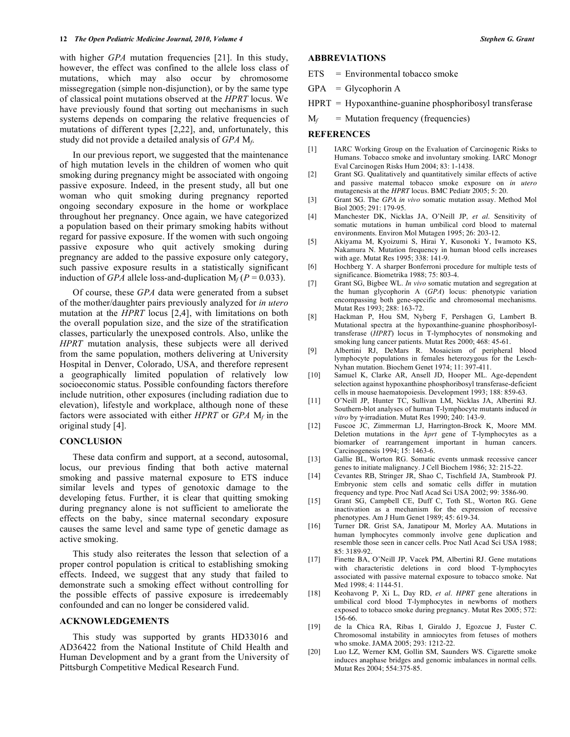with higher *GPA* mutation frequencies [21]. In this study, however, the effect was confined to the allele loss class of mutations, which may also occur by chromosome missegregation (simple non-disjunction), or by the same type of classical point mutations observed at the *HPRT* locus. We have previously found that sorting out mechanisms in such systems depends on comparing the relative frequencies of mutations of different types [2,22], and, unfortunately, this study did not provide a detailed analysis of *GPA* M*f*.

 In our previous report, we suggested that the maintenance of high mutation levels in the children of women who quit smoking during pregnancy might be associated with ongoing passive exposure. Indeed, in the present study, all but one woman who quit smoking during pregnancy reported ongoing secondary exposure in the home or workplace throughout her pregnancy. Once again, we have categorized a population based on their primary smoking habits without regard for passive exposure. If the women with such ongoing passive exposure who quit actively smoking during pregnancy are added to the passive exposure only category, such passive exposure results in a statistically significant induction of *GPA* allele loss-and-duplication  $M_f$  (*P* = 0.033).

 Of course, these *GPA* data were generated from a subset of the mother/daughter pairs previously analyzed for *in utero* mutation at the *HPRT* locus [2,4], with limitations on both the overall population size, and the size of the stratification classes, particularly the unexposed controls. Also, unlike the *HPRT* mutation analysis, these subjects were all derived from the same population, mothers delivering at University Hospital in Denver, Colorado, USA, and therefore represent a geographically limited population of relatively low socioeconomic status. Possible confounding factors therefore include nutrition, other exposures (including radiation due to elevation), lifestyle and workplace, although none of these factors were associated with either *HPRT* or *GPA* M*f* in the original study [4].

#### **CONCLUSION**

 These data confirm and support, at a second, autosomal, locus, our previous finding that both active maternal smoking and passive maternal exposure to ETS induce similar levels and types of genotoxic damage to the developing fetus. Further, it is clear that quitting smoking during pregnancy alone is not sufficient to ameliorate the effects on the baby, since maternal secondary exposure causes the same level and same type of genetic damage as active smoking.

 This study also reiterates the lesson that selection of a proper control population is critical to establishing smoking effects. Indeed, we suggest that any study that failed to demonstrate such a smoking effect without controlling for the possible effects of passive exposure is irredeemably confounded and can no longer be considered valid.

### **ACKNOWLEDGEMENTS**

 This study was supported by grants HD33016 and AD36422 from the National Institute of Child Health and Human Development and by a grant from the University of Pittsburgh Competitive Medical Research Fund.

# **ABBREVIATIONS**

- $ETS = Environmental$  tobacco smoke
- $GPA = Glycoplorin A$
- HPRT = Hypoxanthine-guanine phosphoribosyl transferase
- $M_f$  = Mutation frequency (frequencies)

#### **REFERENCES**

- [1] IARC Working Group on the Evaluation of Carcinogenic Risks to Humans. Tobacco smoke and involuntary smoking. IARC Monogr Eval Carcinogen Risks Hum 2004; 83: 1-1438.
- [2] Grant SG. Qualitatively and quantitatively similar effects of active and passive maternal tobacco smoke exposure on *in utero* mutagenesis at the *HPRT* locus. BMC Pediatr 2005; 5: 20.
- [3] Grant SG. The *GPA in vivo* somatic mutation assay. Method Mol Biol 2005; 291: 179-95.
- [4] Manchester DK, Nicklas JA, O'Neill JP, *et al*. Sensitivity of somatic mutations in human umbilical cord blood to maternal environments. Environ Mol Mutagen 1995; 26: 203-12.
- [5] Akiyama M, Kyoizumi S, Hirai Y, Kusonoki Y, Iwamoto KS, Nakamura N. Mutation frequency in human blood cells increases with age. Mutat Res 1995; 338: 141-9.
- [6] Hochberg Y. A sharper Bonferroni procedure for multiple tests of significance. Biometrika 1988; 75: 803-4.
- [7] Grant SG, Bigbee WL. *In vivo* somatic mutation and segregation at the human glycophorin A (*GPA*) locus: phenotypic variation encompassing both gene-specific and chromosomal mechanisms. Mutat Res 1993; 288: 163-72.
- [8] Hackman P, Hou SM, Nyberg F, Pershagen G, Lambert B. Mutational spectra at the hypoxanthine-guanine phosphoribosyltransferase (*HPRT*) locus in T-lymphocytes of nonsmoking and smoking lung cancer patients. Mutat Res 2000; 468: 45-61.
- [9] Albertini RJ, DeMars R. Mosaicism of peripheral blood lymphocyte populations in females heterozygous for the Lesch-Nyhan mutation. Biochem Genet 1974; 11: 397-411.
- [10] Samuel K, Clarke AR, Ansell JD, Hooper ML. Age-dependent selection against hypoxanthine phosphoribosyl transferase-deficient cells in mouse haematopoiesis. Development 1993; 188: 859-63.
- [11] O'Neill JP, Hunter TC, Sullivan LM, Nicklas JA, Albertini RJ. Southern-blot analyses of human T-lymphocyte mutants induced *in vitro* by γ-irradiation. Mutat Res 1990; 240: 143-9.
- [12] Fuscoe JC, Zimmerman LJ, Harrington-Brock K, Moore MM. Deletion mutations in the *hprt* gene of T-lymphocytes as a biomarker of rearrangement important in human cancers. Carcinogenesis 1994; 15: 1463-6.
- [13] Gallie BL, Worton RG. Somatic events unmask recessive cancer genes to initiate malignancy. J Cell Biochem 1986; 32: 215-22.
- [14] Cevantes RB, Stringer JR, Shao C, Tischfield JA, Stambrook PJ. Embryonic stem cells and somatic cells differ in mutation frequency and type. Proc Natl Acad Sci USA 2002; 99: 3586-90.
- [15] Grant SG, Campbell CE, Duff C, Toth SL, Worton RG. Gene inactivation as a mechanism for the expression of recessive phenotypes. Am J Hum Genet 1989; 45: 619-34.
- [16] Turner DR. Grist SA, Janatipour M, Morley AA. Mutations in human lymphocytes commonly involve gene duplication and resemble those seen in cancer cells. Proc Natl Acad Sci USA 1988; 85: 3189-92.
- [17] Finette BA, O'Neill JP, Vacek PM, Albertini RJ. Gene mutations with characteristic deletions in cord blood T-lymphocytes associated with passive maternal exposure to tobacco smoke. Nat Med 1998; 4: 1144-51.
- [18] Keohavong P, Xi L, Day RD, *et al*. *HPRT* gene alterations in umbilical cord blood T-lymphocytes in newborns of mothers exposed to tobacco smoke during pregnancy. Mutat Res 2005; 572: 156-66.
- [19] de la Chica RA, Ribas I, Giraldo J, Egozcue J, Fuster C. Chromosomal instability in amniocytes from fetuses of mothers who smoke. JAMA 2005; 293: 1212-22.
- [20] Luo LZ, Werner KM, Gollin SM, Saunders WS. Cigarette smoke induces anaphase bridges and genomic imbalances in normal cells. Mutat Res 2004; 554:375-85.